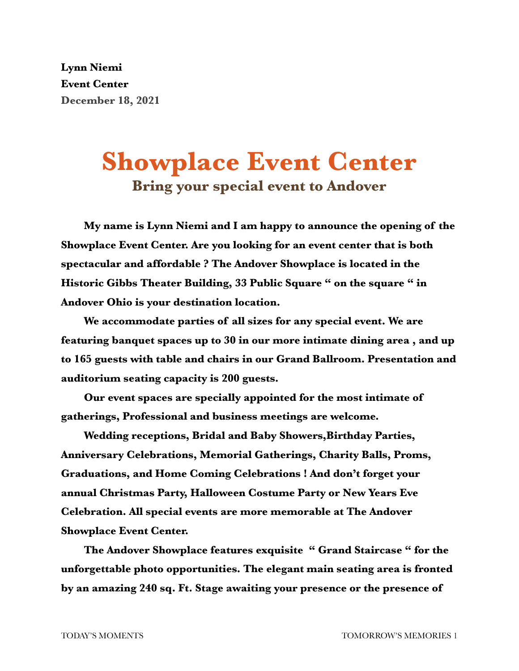**Lynn Niemi Event Center December 18, 2021**

## **Showplace Event Center Bring your special event to Andover**

**My name is Lynn Niemi and I am happy to announce the opening of the Showplace Event Center. Are you looking for an event center that is both spectacular and affordable ? The Andover Showplace is located in the Historic Gibbs Theater Building, 33 Public Square " on the square " in Andover Ohio is your destination location.**

**We accommodate parties of all sizes for any special event. We are featuring banquet spaces up to 30 in our more intimate dining area , and up to 165 guests with table and chairs in our Grand Ballroom. Presentation and auditorium seating capacity is 200 guests.**

**Our event spaces are specially appointed for the most intimate of gatherings, Professional and business meetings are welcome.**

**Wedding receptions, Bridal and Baby Showers,Birthday Parties, Anniversary Celebrations, Memorial Gatherings, Charity Balls, Proms, Graduations, and Home Coming Celebrations ! And don't forget your annual Christmas Party, Halloween Costume Party or New Years Eve Celebration. All special events are more memorable at The Andover Showplace Event Center.**

**The Andover Showplace features exquisite " Grand Staircase " for the unforgettable photo opportunities. The elegant main seating area is fronted by an amazing 240 sq. Ft. Stage awaiting your presence or the presence of**